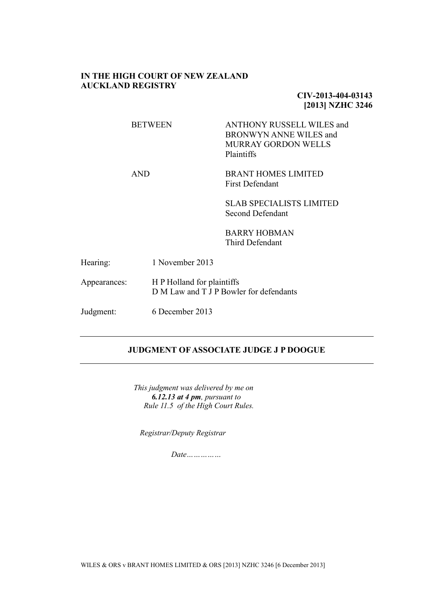#### **IN THE HIGH COURT OF NEW ZEALAND AUCKLAND REGISTRY**

## **CIV-2013-404-03143 [2013] NZHC 3246**

# BETWEEN ANTHONY RUSSELL WILES and BRONWYN ANNE WILES and MURRAY GORDON WELLS Plaintiffs

AND BRANT HOMES LIMITED First Defendant

> SLAB SPECIALISTS LIMITED Second Defendant

BARRY HOBMAN Third Defendant

| Hearing:     | 1 November 2013                                                       |
|--------------|-----------------------------------------------------------------------|
| Appearances: | H P Holland for plaintiffs<br>D M Law and T J P Bowler for defendants |
| Judgment:    | 6 December 2013                                                       |

# **JUDGMENT OF ASSOCIATE JUDGE J P DOOGUE**

 *This judgment was delivered by me on 6.12.13 at 4 pm, pursuant to Rule 11.5 of the High Court Rules.*

 *Registrar/Deputy Registrar*

 *Date……………*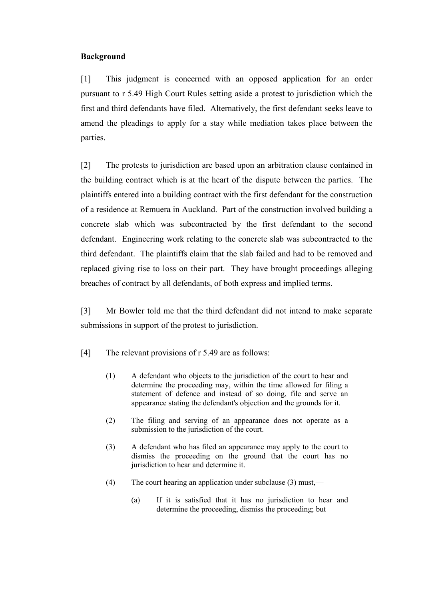# **Background**

[1] This judgment is concerned with an opposed application for an order pursuant to r 5.49 High Court Rules setting aside a protest to jurisdiction which the first and third defendants have filed. Alternatively, the first defendant seeks leave to amend the pleadings to apply for a stay while mediation takes place between the parties.

[2] The protests to jurisdiction are based upon an arbitration clause contained in the building contract which is at the heart of the dispute between the parties. The plaintiffs entered into a building contract with the first defendant for the construction of a residence at Remuera in Auckland. Part of the construction involved building a concrete slab which was subcontracted by the first defendant to the second defendant. Engineering work relating to the concrete slab was subcontracted to the third defendant. The plaintiffs claim that the slab failed and had to be removed and replaced giving rise to loss on their part. They have brought proceedings alleging breaches of contract by all defendants, of both express and implied terms.

[3] Mr Bowler told me that the third defendant did not intend to make separate submissions in support of the protest to jurisdiction.

- [4] The relevant provisions of r 5.49 are as follows:
	- (1) A defendant who objects to the jurisdiction of the court to hear and determine the proceeding may, within the time allowed for filing a statement of defence and instead of so doing, file and serve an appearance stating the defendant's objection and the grounds for it.
	- (2) The filing and serving of an appearance does not operate as a submission to the jurisdiction of the court.
	- (3) A defendant who has filed an appearance may apply to the court to dismiss the proceeding on the ground that the court has no jurisdiction to hear and determine it.
	- (4) The court hearing an application under subclause (3) must,—
		- (a) If it is satisfied that it has no jurisdiction to hear and determine the proceeding, dismiss the proceeding; but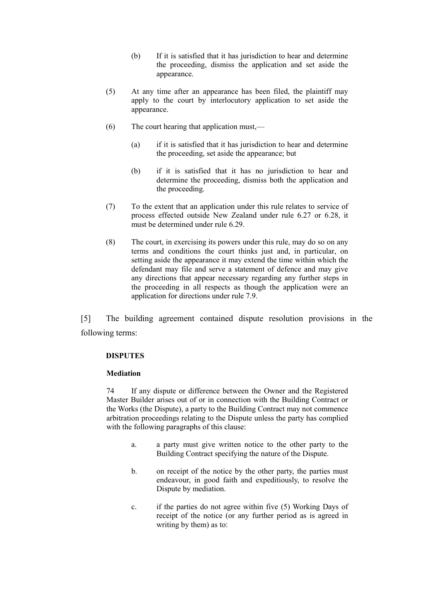- (b) If it is satisfied that it has jurisdiction to hear and determine the proceeding, dismiss the application and set aside the appearance.
- (5) At any time after an appearance has been filed, the plaintiff may apply to the court by interlocutory application to set aside the appearance.
- (6) The court hearing that application must,—
	- (a) if it is satisfied that it has jurisdiction to hear and determine the proceeding, set aside the appearance; but
	- (b) if it is satisfied that it has no jurisdiction to hear and determine the proceeding, dismiss both the application and the proceeding.
- (7) To the extent that an application under this rule relates to service of process effected outside New Zealand under rule 6.27 or 6.28, it must be determined under rule 6.29.
- (8) The court, in exercising its powers under this rule, may do so on any terms and conditions the court thinks just and, in particular, on setting aside the appearance it may extend the time within which the defendant may file and serve a statement of defence and may give any directions that appear necessary regarding any further steps in the proceeding in all respects as though the application were an application for directions under rule 7.9.

[5] The building agreement contained dispute resolution provisions in the following terms:

#### **DISPUTES**

#### **Mediation**

74 If any dispute or difference between the Owner and the Registered Master Builder arises out of or in connection with the Building Contract or the Works (the Dispute), a party to the Building Contract may not commence arbitration proceedings relating to the Dispute unless the party has complied with the following paragraphs of this clause:

- a. a party must give written notice to the other party to the Building Contract specifying the nature of the Dispute.
- b. on receipt of the notice by the other party, the parties must endeavour, in good faith and expeditiously, to resolve the Dispute by mediation.
- c. if the parties do not agree within five (5) Working Days of receipt of the notice (or any further period as is agreed in writing by them) as to: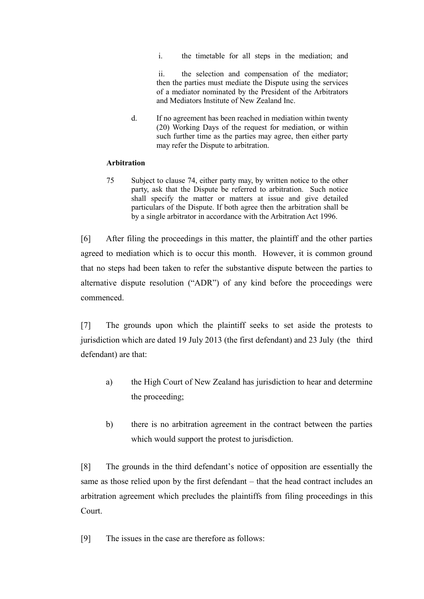i. the timetable for all steps in the mediation; and

ii. the selection and compensation of the mediator; then the parties must mediate the Dispute using the services of a mediator nominated by the President of the Arbitrators and Mediators Institute of New Zealand Inc.

d. If no agreement has been reached in mediation within twenty (20) Working Days of the request for mediation, or within such further time as the parties may agree, then either party may refer the Dispute to arbitration.

#### **Arbitration**

75 Subject to clause 74, either party may, by written notice to the other party, ask that the Dispute be referred to arbitration. Such notice shall specify the matter or matters at issue and give detailed particulars of the Dispute. If both agree then the arbitration shall be by a single arbitrator in accordance with the Arbitration Act 1996.

[6] After filing the proceedings in this matter, the plaintiff and the other parties agreed to mediation which is to occur this month. However, it is common ground that no steps had been taken to refer the substantive dispute between the parties to alternative dispute resolution ("ADR") of any kind before the proceedings were commenced.

[7] The grounds upon which the plaintiff seeks to set aside the protests to jurisdiction which are dated 19 July 2013 (the first defendant) and 23 July (the third defendant) are that:

- a) the High Court of New Zealand has jurisdiction to hear and determine the proceeding;
- b) there is no arbitration agreement in the contract between the parties which would support the protest to jurisdiction.

[8] The grounds in the third defendant's notice of opposition are essentially the same as those relied upon by the first defendant – that the head contract includes an arbitration agreement which precludes the plaintiffs from filing proceedings in this Court.

[9] The issues in the case are therefore as follows: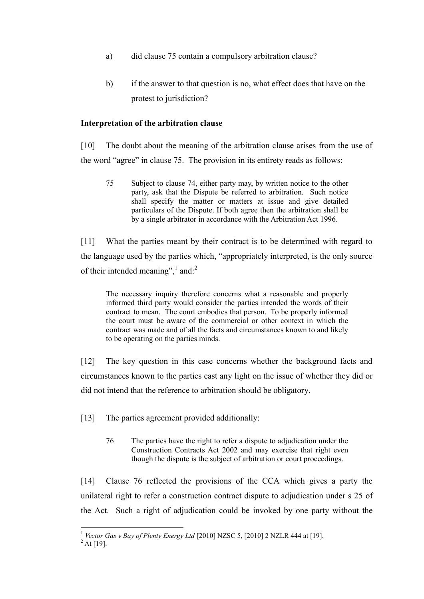- a) did clause 75 contain a compulsory arbitration clause?
- b) if the answer to that question is no, what effect does that have on the protest to jurisdiction?

### **Interpretation of the arbitration clause**

[10] The doubt about the meaning of the arbitration clause arises from the use of the word "agree" in clause 75. The provision in its entirety reads as follows:

75 Subject to clause 74, either party may, by written notice to the other party, ask that the Dispute be referred to arbitration. Such notice shall specify the matter or matters at issue and give detailed particulars of the Dispute. If both agree then the arbitration shall be by a single arbitrator in accordance with the Arbitration Act 1996.

[11] What the parties meant by their contract is to be determined with regard to the language used by the parties which, "appropriately interpreted, is the only source of their intended meaning",  $1$  and:

The necessary inquiry therefore concerns what a reasonable and properly informed third party would consider the parties intended the words of their contract to mean. The court embodies that person. To be properly informed the court must be aware of the commercial or other context in which the contract was made and of all the facts and circumstances known to and likely to be operating on the parties minds.

[12] The key question in this case concerns whether the background facts and circumstances known to the parties cast any light on the issue of whether they did or did not intend that the reference to arbitration should be obligatory.

[13] The parties agreement provided additionally:

76 The parties have the right to refer a dispute to adjudication under the Construction Contracts Act 2002 and may exercise that right even though the dispute is the subject of arbitration or court proceedings.

[14] Clause 76 reflected the provisions of the CCA which gives a party the unilateral right to refer a construction contract dispute to adjudication under s 25 of the Act. Such a right of adjudication could be invoked by one party without the

 $\overline{a}$ 

<sup>1</sup> *Vector Gas v Bay of Plenty Energy Ltd* [2010] NZSC 5, [2010] 2 NZLR 444 at [19].

 $^{2}$  At [19].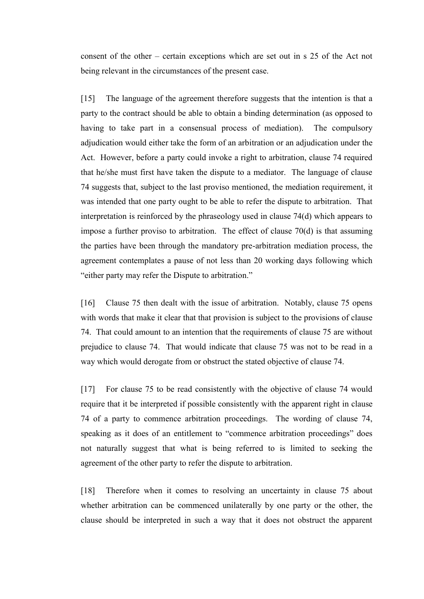consent of the other – certain exceptions which are set out in s 25 of the Act not being relevant in the circumstances of the present case.

[15] The language of the agreement therefore suggests that the intention is that a party to the contract should be able to obtain a binding determination (as opposed to having to take part in a consensual process of mediation). The compulsory adjudication would either take the form of an arbitration or an adjudication under the Act. However, before a party could invoke a right to arbitration, clause 74 required that he/she must first have taken the dispute to a mediator. The language of clause 74 suggests that, subject to the last proviso mentioned, the mediation requirement, it was intended that one party ought to be able to refer the dispute to arbitration. That interpretation is reinforced by the phraseology used in clause 74(d) which appears to impose a further proviso to arbitration. The effect of clause 70(d) is that assuming the parties have been through the mandatory pre-arbitration mediation process, the agreement contemplates a pause of not less than 20 working days following which "either party may refer the Dispute to arbitration."

[16] Clause 75 then dealt with the issue of arbitration. Notably, clause 75 opens with words that make it clear that that provision is subject to the provisions of clause 74. That could amount to an intention that the requirements of clause 75 are without prejudice to clause 74. That would indicate that clause 75 was not to be read in a way which would derogate from or obstruct the stated objective of clause 74.

[17] For clause 75 to be read consistently with the objective of clause 74 would require that it be interpreted if possible consistently with the apparent right in clause 74 of a party to commence arbitration proceedings. The wording of clause 74, speaking as it does of an entitlement to "commence arbitration proceedings" does not naturally suggest that what is being referred to is limited to seeking the agreement of the other party to refer the dispute to arbitration.

[18] Therefore when it comes to resolving an uncertainty in clause 75 about whether arbitration can be commenced unilaterally by one party or the other, the clause should be interpreted in such a way that it does not obstruct the apparent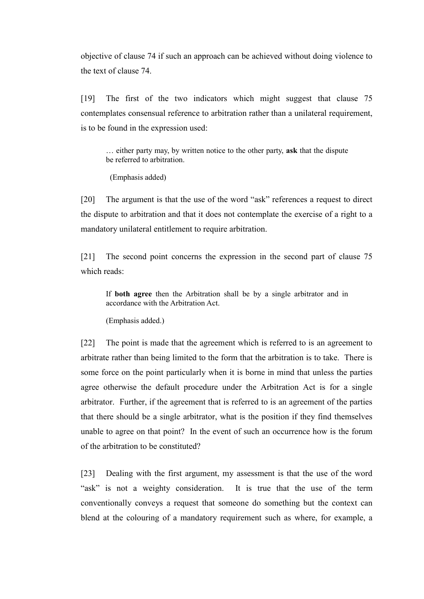objective of clause 74 if such an approach can be achieved without doing violence to the text of clause 74.

[19] The first of the two indicators which might suggest that clause 75 contemplates consensual reference to arbitration rather than a unilateral requirement, is to be found in the expression used:

… either party may, by written notice to the other party, **ask** that the dispute be referred to arbitration.

(Emphasis added)

[20] The argument is that the use of the word "ask" references a request to direct the dispute to arbitration and that it does not contemplate the exercise of a right to a mandatory unilateral entitlement to require arbitration.

[21] The second point concerns the expression in the second part of clause 75 which reads:

If **both agree** then the Arbitration shall be by a single arbitrator and in accordance with the Arbitration Act.

(Emphasis added.)

[22] The point is made that the agreement which is referred to is an agreement to arbitrate rather than being limited to the form that the arbitration is to take. There is some force on the point particularly when it is borne in mind that unless the parties agree otherwise the default procedure under the Arbitration Act is for a single arbitrator. Further, if the agreement that is referred to is an agreement of the parties that there should be a single arbitrator, what is the position if they find themselves unable to agree on that point? In the event of such an occurrence how is the forum of the arbitration to be constituted?

[23] Dealing with the first argument, my assessment is that the use of the word "ask" is not a weighty consideration. It is true that the use of the term conventionally conveys a request that someone do something but the context can blend at the colouring of a mandatory requirement such as where, for example, a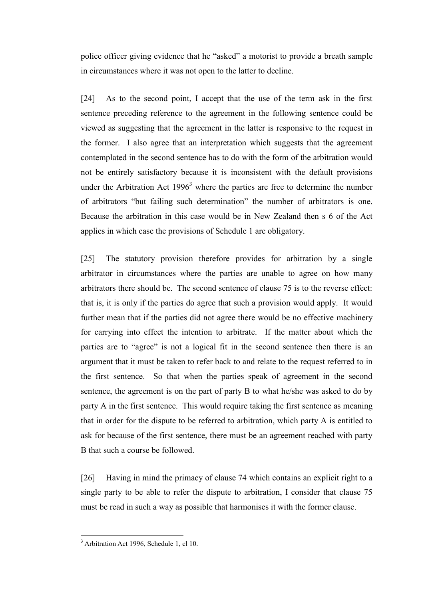police officer giving evidence that he "asked" a motorist to provide a breath sample in circumstances where it was not open to the latter to decline.

[24] As to the second point, I accept that the use of the term ask in the first sentence preceding reference to the agreement in the following sentence could be viewed as suggesting that the agreement in the latter is responsive to the request in the former. I also agree that an interpretation which suggests that the agreement contemplated in the second sentence has to do with the form of the arbitration would not be entirely satisfactory because it is inconsistent with the default provisions under the Arbitration Act  $1996<sup>3</sup>$  where the parties are free to determine the number of arbitrators "but failing such determination" the number of arbitrators is one. Because the arbitration in this case would be in New Zealand then s 6 of the Act applies in which case the provisions of Schedule 1 are obligatory.

[25] The statutory provision therefore provides for arbitration by a single arbitrator in circumstances where the parties are unable to agree on how many arbitrators there should be. The second sentence of clause 75 is to the reverse effect: that is, it is only if the parties do agree that such a provision would apply. It would further mean that if the parties did not agree there would be no effective machinery for carrying into effect the intention to arbitrate. If the matter about which the parties are to "agree" is not a logical fit in the second sentence then there is an argument that it must be taken to refer back to and relate to the request referred to in the first sentence. So that when the parties speak of agreement in the second sentence, the agreement is on the part of party B to what he/she was asked to do by party A in the first sentence. This would require taking the first sentence as meaning that in order for the dispute to be referred to arbitration, which party A is entitled to ask for because of the first sentence, there must be an agreement reached with party B that such a course be followed.

[26] Having in mind the primacy of clause 74 which contains an explicit right to a single party to be able to refer the dispute to arbitration, I consider that clause 75 must be read in such a way as possible that harmonises it with the former clause.

 $\overline{a}$ 

 $3$  Arbitration Act 1996, Schedule 1, cl 10.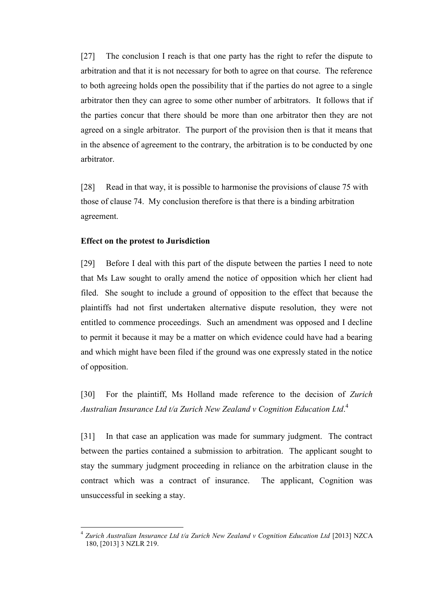[27] The conclusion I reach is that one party has the right to refer the dispute to arbitration and that it is not necessary for both to agree on that course. The reference to both agreeing holds open the possibility that if the parties do not agree to a single arbitrator then they can agree to some other number of arbitrators. It follows that if the parties concur that there should be more than one arbitrator then they are not agreed on a single arbitrator. The purport of the provision then is that it means that in the absence of agreement to the contrary, the arbitration is to be conducted by one arbitrator.

[28] Read in that way, it is possible to harmonise the provisions of clause 75 with those of clause 74. My conclusion therefore is that there is a binding arbitration agreement.

#### **Effect on the protest to Jurisdiction**

 $\overline{a}$ 

[29] Before I deal with this part of the dispute between the parties I need to note that Ms Law sought to orally amend the notice of opposition which her client had filed. She sought to include a ground of opposition to the effect that because the plaintiffs had not first undertaken alternative dispute resolution, they were not entitled to commence proceedings. Such an amendment was opposed and I decline to permit it because it may be a matter on which evidence could have had a bearing and which might have been filed if the ground was one expressly stated in the notice of opposition.

[30] For the plaintiff, Ms Holland made reference to the decision of *Zurich Australian Insurance Ltd t/a Zurich New Zealand v Cognition Education Ltd*. 4

[31] In that case an application was made for summary judgment. The contract between the parties contained a submission to arbitration. The applicant sought to stay the summary judgment proceeding in reliance on the arbitration clause in the contract which was a contract of insurance. The applicant, Cognition was unsuccessful in seeking a stay.

<sup>4</sup> *Zurich Australian Insurance Ltd t/a Zurich New Zealand v Cognition Education Ltd* [2013] NZCA 180, [2013] 3 NZLR 219.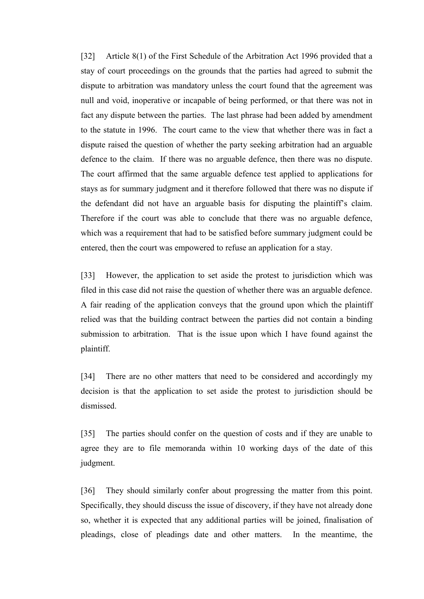[32] Article 8(1) of the First Schedule of the Arbitration Act 1996 provided that a stay of court proceedings on the grounds that the parties had agreed to submit the dispute to arbitration was mandatory unless the court found that the agreement was null and void, inoperative or incapable of being performed, or that there was not in fact any dispute between the parties. The last phrase had been added by amendment to the statute in 1996. The court came to the view that whether there was in fact a dispute raised the question of whether the party seeking arbitration had an arguable defence to the claim. If there was no arguable defence, then there was no dispute. The court affirmed that the same arguable defence test applied to applications for stays as for summary judgment and it therefore followed that there was no dispute if the defendant did not have an arguable basis for disputing the plaintiff's claim. Therefore if the court was able to conclude that there was no arguable defence, which was a requirement that had to be satisfied before summary judgment could be entered, then the court was empowered to refuse an application for a stay.

[33] However, the application to set aside the protest to jurisdiction which was filed in this case did not raise the question of whether there was an arguable defence. A fair reading of the application conveys that the ground upon which the plaintiff relied was that the building contract between the parties did not contain a binding submission to arbitration. That is the issue upon which I have found against the plaintiff.

[34] There are no other matters that need to be considered and accordingly my decision is that the application to set aside the protest to jurisdiction should be dismissed.

[35] The parties should confer on the question of costs and if they are unable to agree they are to file memoranda within 10 working days of the date of this judgment.

[36] They should similarly confer about progressing the matter from this point. Specifically, they should discuss the issue of discovery, if they have not already done so, whether it is expected that any additional parties will be joined, finalisation of pleadings, close of pleadings date and other matters. In the meantime, the